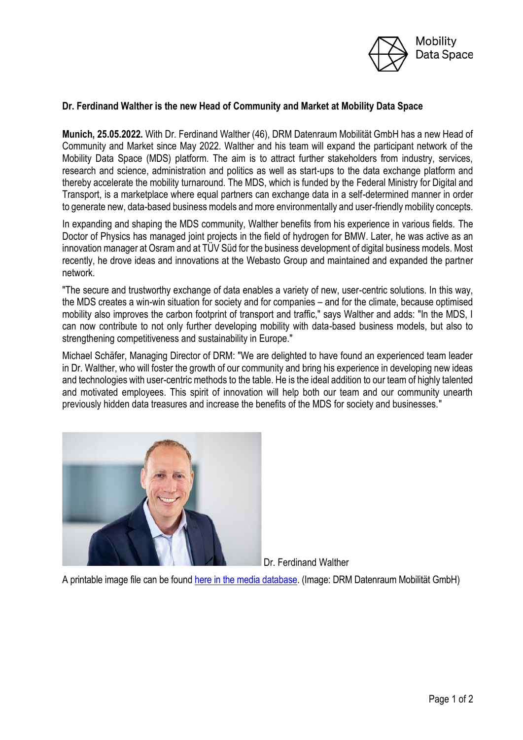

## **Dr. Ferdinand Walther is the new Head of Community and Market at Mobility Data Space**

**Munich, 25.05.2022.** With Dr. Ferdinand Walther (46), DRM Datenraum Mobilität GmbH has a new Head of Community and Market since May 2022. Walther and his team will expand the participant network of the Mobility Data Space (MDS) platform. The aim is to attract further stakeholders from industry, services, research and science, administration and politics as well as start-ups to the data exchange platform and thereby accelerate the mobility turnaround. The MDS, which is funded by the Federal Ministry for Digital and Transport, is a marketplace where equal partners can exchange data in a self-determined manner in order to generate new, data-based business models and more environmentally and user-friendly mobility concepts.

In expanding and shaping the MDS community, Walther benefits from his experience in various fields. The Doctor of Physics has managed joint projects in the field of hydrogen for BMW. Later, he was active as an innovation manager at Osram and at TÜV Süd for the business development of digital business models. Most recently, he drove ideas and innovations at the Webasto Group and maintained and expanded the partner network.

"The secure and trustworthy exchange of data enables a variety of new, user-centric solutions. In this way, the MDS creates a win-win situation for society and for companies – and for the climate, because optimised mobility also improves the carbon footprint of transport and traffic," says Walther and adds: "In the MDS, I can now contribute to not only further developing mobility with data-based business models, but also to strengthening competitiveness and sustainability in Europe."

Michael Schäfer, Managing Director of DRM: "We are delighted to have found an experienced team leader in Dr. Walther, who will foster the growth of our community and bring his experience in developing new ideas and technologies with user-centric methods to the table. He is the ideal addition to our team of highly talented and motivated employees. This spirit of innovation will help both our team and our community unearth previously hidden data treasures and increase the benefits of the MDS for society and businesses."



Dr. Ferdinand Walther

A printable image file can be foun[d here in the media database.](http://press-n-relations.mediamid.com/AMID-PR/open.jsp?action=search&query=FerdinandWaltherMDS) (Image: DRM Datenraum Mobilität GmbH)